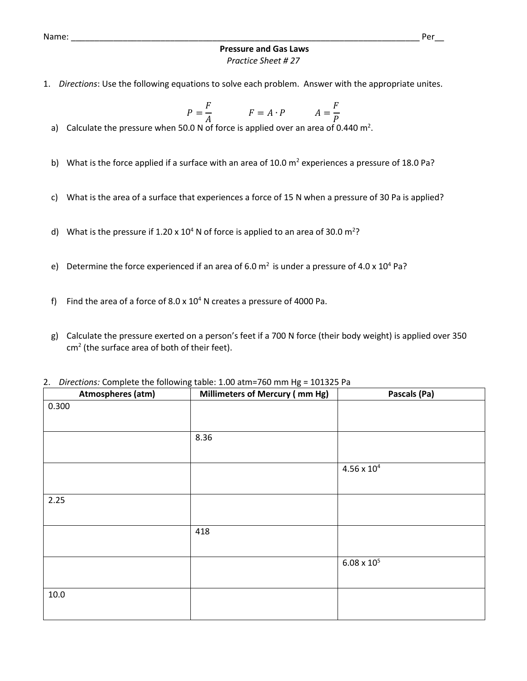Name: \_\_\_\_\_\_\_\_\_\_\_\_\_\_\_\_\_\_\_\_\_\_\_\_\_\_\_\_\_\_\_\_\_\_\_\_\_\_\_\_\_\_\_\_\_\_\_\_\_\_\_\_\_\_\_\_\_\_\_\_\_\_\_\_\_\_\_\_\_\_\_\_\_\_ Per\_\_

## **Pressure and Gas Laws** *Practice Sheet # 27*

1. *Directions*: Use the following equations to solve each problem. Answer with the appropriate unites.

$$
P = \frac{F}{A} \qquad F = A \cdot P \qquad A = \frac{F}{P}
$$

- a) Calculate the pressure when 50.0 N of force is applied over an area of 0.440 m<sup>2</sup>.
- b) What is the force applied if a surface with an area of 10.0  $m^2$  experiences a pressure of 18.0 Pa?
- c) What is the area of a surface that experiences a force of 15 N when a pressure of 30 Pa is applied?
- d) What is the pressure if 1.20 x  $10^4$  N of force is applied to an area of 30.0 m<sup>2</sup>?
- e) Determine the force experienced if an area of 6.0  $m<sup>2</sup>$  is under a pressure of 4.0 x 10<sup>4</sup> Pa?
- f) Find the area of a force of  $8.0 \times 10^4$  N creates a pressure of 4000 Pa.
- g) Calculate the pressure exerted on a person's feet if a 700 N force (their body weight) is applied over 350 cm<sup>2</sup> (the surface area of both of their feet).
- 2. *Directions:* Complete the following table: 1.00 atm=760 mm Hg = 101325 Pa

| Atmospheres (atm) | Millimeters of Mercury (mm Hg) | Pascals (Pa)         |
|-------------------|--------------------------------|----------------------|
| 0.300             |                                |                      |
|                   |                                |                      |
|                   |                                |                      |
|                   | 8.36                           |                      |
|                   |                                |                      |
|                   |                                | $4.56\times10^4$     |
|                   |                                |                      |
| 2.25              |                                |                      |
|                   |                                |                      |
|                   | 418                            |                      |
|                   |                                |                      |
|                   |                                | $6.08 \times 10^{5}$ |
|                   |                                |                      |
| $10.0\,$          |                                |                      |
|                   |                                |                      |
|                   |                                |                      |